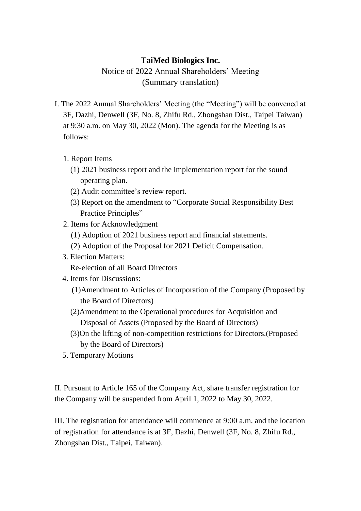## **TaiMed Biologics Inc.**

Notice of 2022 Annual Shareholders' Meeting (Summary translation)

- I. The 2022 Annual Shareholders' Meeting (the "Meeting") will be convened at 3F, Dazhi, Denwell (3F, No. 8, Zhifu Rd., Zhongshan Dist., Taipei Taiwan) at 9:30 a.m. on May 30, 2022 (Mon). The agenda for the Meeting is as follows:
	- 1. Report Items
		- (1) 2021 business report and the implementation report for the sound operating plan.
		- (2) Audit committee's review report.
		- (3) Report on the amendment to "Corporate Social Responsibility Best Practice Principles"
	- 2. Items for Acknowledgment
		- (1) Adoption of 2021 business report and financial statements.
		- (2) Adoption of the Proposal for 2021 Deficit Compensation.
	- 3. Election Matters:

Re-election of all Board Directors

- 4. Items for Discussions:
	- (1)Amendment to Articles of Incorporation of the Company (Proposed by the Board of Directors)
	- (2)Amendment to the Operational procedures for Acquisition and Disposal of Assets (Proposed by the Board of Directors)
	- (3)On the lifting of non-competition restrictions for Directors.(Proposed by the Board of Directors)
- 5. Temporary Motions

II. Pursuant to Article 165 of the Company Act, share transfer registration for the Company will be suspended from April 1, 2022 to May 30, 2022.

III. The registration for attendance will commence at 9:00 a.m. and the location of registration for attendance is at 3F, Dazhi, Denwell (3F, No. 8, Zhifu Rd., Zhongshan Dist., Taipei, Taiwan).